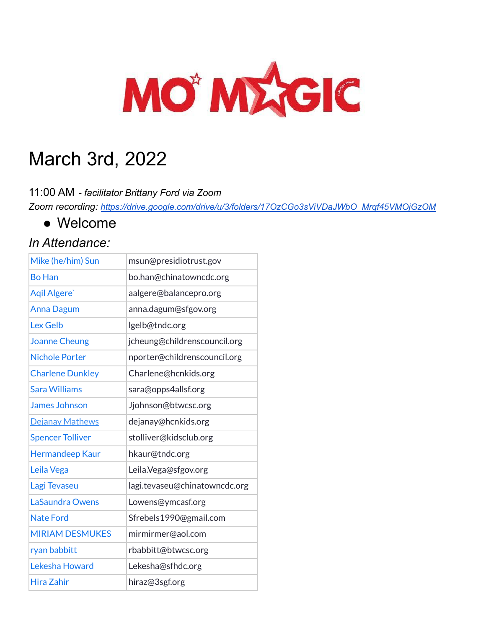

# March 3rd, 2022

11:00 AM *- facilitator Brittany Ford via Zoom*

*Zoom recording: [https://drive.google.com/drive/u/3/folders/17OzCGo3sViVDaJWbO\\_Mrqf45VMOjGzOM](https://drive.google.com/drive/u/3/folders/17OzCGo3sViVDaJWbO_Mrqf45VMOjGzOM)*

● Welcome

#### *In Attendance:*

| Mike (he/him) Sun       | msun@presidiotrust.gov        |
|-------------------------|-------------------------------|
| <b>Bo Han</b>           | bo.han@chinatowncdc.org       |
| Agil Algere'            | aalgere@balancepro.org        |
| <b>Anna Dagum</b>       | anna.dagum@sfgov.org          |
| <b>Lex Gelb</b>         | lgelb@tndc.org                |
| <b>Joanne Cheung</b>    | jcheung@childrenscouncil.org  |
| <b>Nichole Porter</b>   | nporter@childrenscouncil.org  |
| <b>Charlene Dunkley</b> | Charlene@hcnkids.org          |
| <b>Sara Williams</b>    | sara@opps4allsf.org           |
| <b>James Johnson</b>    | Jjohnson@btwcsc.org           |
| Dejanay Mathews         | dejanay@hcnkids.org           |
| <b>Spencer Tolliver</b> | stolliver@kidsclub.org        |
| <b>Hermandeep Kaur</b>  | hkaur@tndc.org                |
| Leila Vega              | Leila.Vega@sfgov.org          |
| Lagi Tevaseu            | lagi.tevaseu@chinatowncdc.org |
| <b>LaSaundra Owens</b>  | Lowens@ymcasf.org             |
| <b>Nate Ford</b>        | Sfrebels1990@gmail.com        |
| <b>MIRIAM DESMUKES</b>  | mirmirmer@aol.com             |
| ryan babbitt            | rbabbitt@btwcsc.org           |
| Lekesha Howard          | Lekesha@sfhdc.org             |
| Hira Zahir              | hiraz@3sgf.org                |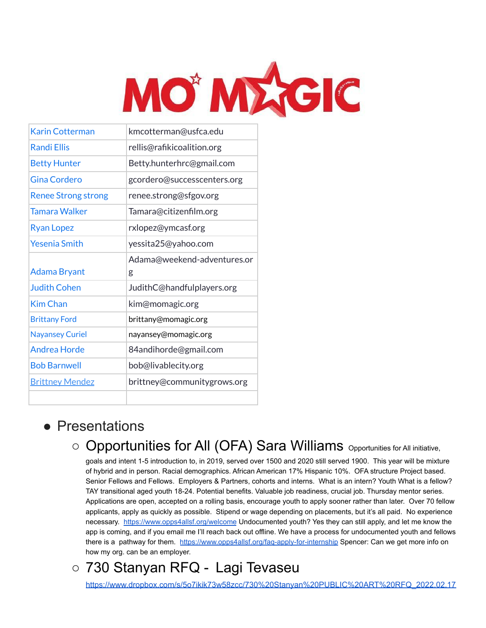

| <b>Karin Cotterman</b>     | kmcotterman@usfca.edu       |
|----------------------------|-----------------------------|
| <b>Randi Filis</b>         | rellis@rafikicoalition.org  |
| <b>Betty Hunter</b>        | Betty.hunterhrc@gmail.com   |
| Gina Cordero               | gcordero@successcenters.org |
| <b>Renee Strong strong</b> | renee.strong@sfgov.org      |
| <b>Tamara Walker</b>       | Tamara@citizenfilm.org      |
| <b>Ryan Lopez</b>          | rxlopez@ymcasf.org          |
| <b>Yesenia Smith</b>       | yessita25@yahoo.com         |
|                            | Adama@weekend-adventures.or |
| <b>Adama Bryant</b>        | g                           |
| <b>Judith Cohen</b>        | JudithC@handfulplayers.org  |
| <b>Kim Chan</b>            | kim@momagic.org             |
| <b>Brittany Ford</b>       | brittany@momagic.org        |
| <b>Nayansey Curiel</b>     | nayansey@momagic.org        |
| <b>Andrea Horde</b>        | 84andihorde@gmail.com       |
| <b>Bob Barnwell</b>        | bob@livablecity.org         |
| <b>Brittney Mendez</b>     | brittney@communitygrows.org |
|                            |                             |

#### ● Presentations

### O Opportunities for All (OFA) Sara Williams Opportunities for All initiative,

goals and intent 1-5 introduction to, in 2019, served over 1500 and 2020 still served 1900. This year will be mixture of hybrid and in person. Racial demographics. African American 17% Hispanic 10%. OFA structure Project based. Senior Fellows and Fellows. Employers & Partners, cohorts and interns. What is an intern? Youth What is a fellow? TAY transitional aged youth 18-24. Potential benefits. Valuable job readiness, crucial job. Thursday mentor series. Applications are open, accepted on a rolling basis, encourage youth to apply sooner rather than later. Over 70 fellow applicants, apply as quickly as possible. Stipend or wage depending on placements, but it's all paid. No experience necessary. <https://www.opps4allsf.org/welcome> Undocumented youth? Yes they can still apply, and let me know the app is coming, and if you email me I'll reach back out offline. We have a process for undocumented youth and fellows there is a pathway for them. <https://www.opps4allsf.org/faq-apply-for-internship> Spencer: Can we get more info on how my org. can be an employer.

## ○ 730 Stanyan RFQ - [Lagi Tevaseu](mailto:lagi.tevaseu@chinatowncdc.org)

[https://www.dropbox.com/s/5o7ikik73w58zcc/730%20Stanyan%20PUBLIC%20ART%20RFQ\\_2022.02.17](https://www.dropbox.com/s/5o7ikik73w58zcc/730%20Stanyan%20PUBLIC%20ART%20RFQ_2022.02.17.pdf?dl=0)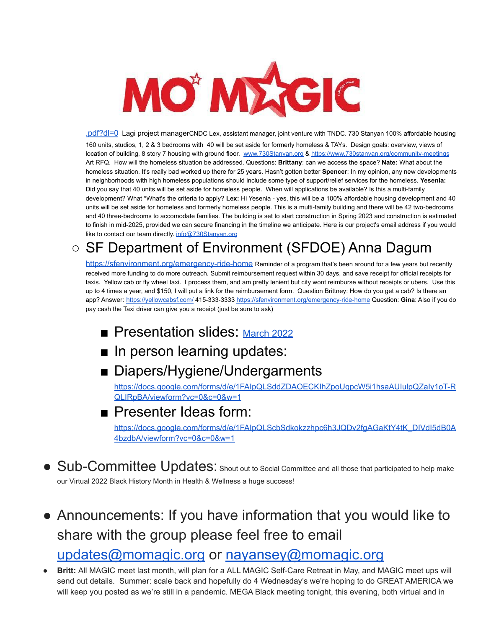

[.pdf?dl=0](https://www.dropbox.com/s/5o7ikik73w58zcc/730%20Stanyan%20PUBLIC%20ART%20RFQ_2022.02.17.pdf?dl=0) Lagi project managerCNDC Lex, assistant manager, joint venture with TNDC. 730 Stanyan 100% affordable housing 160 units, studios, 1, 2 & 3 bedrooms with 40 will be set aside for formerly homeless & TAYs. Design goals: overview, views of location of building, 8 story 7 housing with ground floor. [www.730Stanyan.org](http://www.730stanyan.org) & <https://www.730stanyan.org/community-meetings> Art RFQ. How will the homeless situation be addressed. Questions: **Brittany**: can we access the space? **Nate:** What about the homeless situation. It's really bad worked up there for 25 years. Hasn't gotten better **Spencer**: In my opinion, any new developments in neighborhoods with high homeless populations should include some type of support/relief services for the homeless. **Yesenia:** Did you say that 40 units will be set aside for homeless people. When will applications be available? Is this a multi-family development? What \*What's the criteria to apply? **Lex:** Hi Yesenia - yes, this will be a 100% affordable housing development and 40 units will be set aside for homeless and formerly homeless people. This is a multi-family building and there will be 42 two-bedrooms and 40 three-bedrooms to accomodate families. The building is set to start construction in Spring 2023 and construction is estimated to finish in mid-2025, provided we can secure financing in the timeline we anticipate. Here is our project's email address if you would like to contact our team directly. [info@730Stanyan.org](mailto:info@730Stanyan.org)

### ○ SF Department of Environment (SFDOE) Anna Dagum

<https://sfenvironment.org/emergency-ride-home> Reminder of a program that's been around for a few years but recently received more funding to do more outreach. Submit reimbursement request within 30 days, and save receipt for official receipts for taxis. Yellow cab or fly wheel taxi. I process them, and am pretty lenient but city wont reimburse without receipts or ubers. Use this up to 4 times a year, and \$150, I will put a link for the reimbursement form. Question Brittney: How do you get a cab? Is there an app? Answer: <https://yellowcabsf.com/> 415-333-3333 <https://sfenvironment.org/emergency-ride-home> Question: **Gina**: Also if you do pay cash the Taxi driver can give you a receipt (just be sure to ask)

- Presentation slides: [March 2022](https://drive.google.com/drive/folders/1EO6AKc5r6alV5BPs2Cg3vgnVAJwCFBTf?usp=sharing)
- In person learning updates:
- Diapers/Hygiene/Undergarments

[https://docs.google.com/forms/d/e/1FAIpQLSddZDAOECKIhZpoUqpcW5i1hsaAUIulpQZaIy1oT-R](https://docs.google.com/forms/d/e/1FAIpQLSddZDAOECKIhZpoUqpcW5i1hsaAUIulpQZaIy1oT-RQLIRpBA/viewform?vc=0&c=0&w=1) [QLIRpBA/viewform?vc=0&c=0&w=1](https://docs.google.com/forms/d/e/1FAIpQLSddZDAOECKIhZpoUqpcW5i1hsaAUIulpQZaIy1oT-RQLIRpBA/viewform?vc=0&c=0&w=1)

#### ■ Presenter Ideas form:

[https://docs.google.com/forms/d/e/1FAIpQLScbSdkokzzhpc6h3JQDv2fgAGaKtY4tK\\_DIVdI5dB0A](https://docs.google.com/forms/d/e/1FAIpQLScbSdkokzzhpc6h3JQDv2fgAGaKtY4tK_DIVdI5dB0A4bzdbA/viewform?vc=0&c=0&w=1) [4bzdbA/viewform?vc=0&c=0&w=1](https://docs.google.com/forms/d/e/1FAIpQLScbSdkokzzhpc6h3JQDv2fgAGaKtY4tK_DIVdI5dB0A4bzdbA/viewform?vc=0&c=0&w=1)

- Sub-Committee Updates: Shout out to Social Committee and all those that participated to help make our Virtual 2022 Black History Month in Health & Wellness a huge success!
- Announcements: If you have information that you would like to share with the group please feel free to email [updates@momagic.org](mailto:updates@momagic.org) or [nayansey@momagic.org](mailto:nayansey@momagic.org)
- **Britt:** All MAGIC meet last month, will plan for a ALL MAGIC Self-Care Retreat in May, and MAGIC meet ups will send out details. Summer: scale back and hopefully do 4 Wednesday's we're hoping to do GREAT AMERICA we will keep you posted as we're still in a pandemic. MEGA Black meeting tonight, this evening, both virtual and in